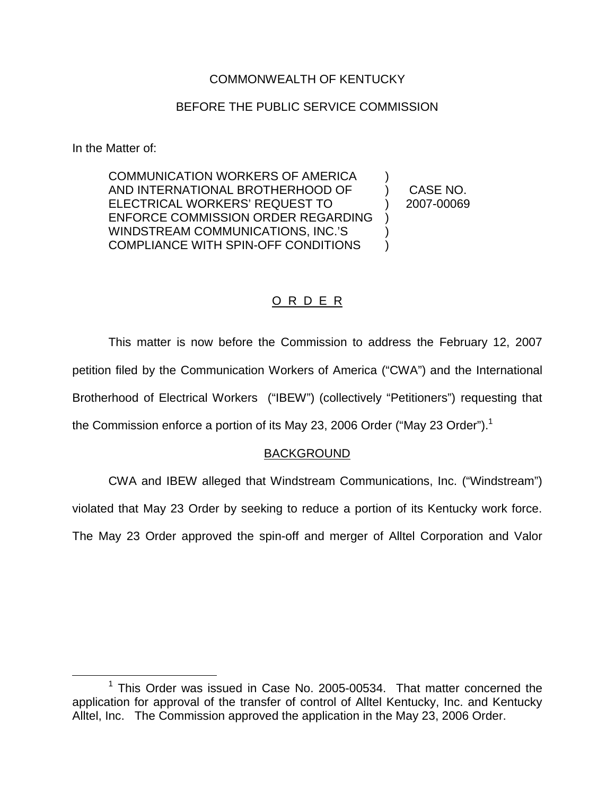## COMMONWEALTH OF KENTUCKY

## BEFORE THE PUBLIC SERVICE COMMISSION

In the Matter of:

COMMUNICATION WORKERS OF AMERICA AND INTERNATIONAL BROTHERHOOD OF ELECTRICAL WORKERS' REQUEST TO ENFORCE COMMISSION ORDER REGARDING WINDSTREAM COMMUNICATIONS, INC.'S COMPLIANCE WITH SPIN-OFF CONDITIONS ) ) )  $\lambda$ 

) CASE NO. ) 2007-00069

# O R D E R

This matter is now before the Commission to address the February 12, 2007 petition filed by the Communication Workers of America ("CWA") and the International Brotherhood of Electrical Workers ("IBEW") (collectively "Petitioners") requesting that the Commission enforce a portion of its May 23, 2006 Order ("May 23 Order").<sup>1</sup>

## BACKGROUND

CWA and IBEW alleged that Windstream Communications, Inc. ("Windstream")

violated that May 23 Order by seeking to reduce a portion of its Kentucky work force.

The May 23 Order approved the spin-off and merger of Alltel Corporation and Valor

 $1$  This Order was issued in Case No. 2005-00534. That matter concerned the application for approval of the transfer of control of Alltel Kentucky, Inc. and Kentucky Alltel, Inc. The Commission approved the application in the May 23, 2006 Order.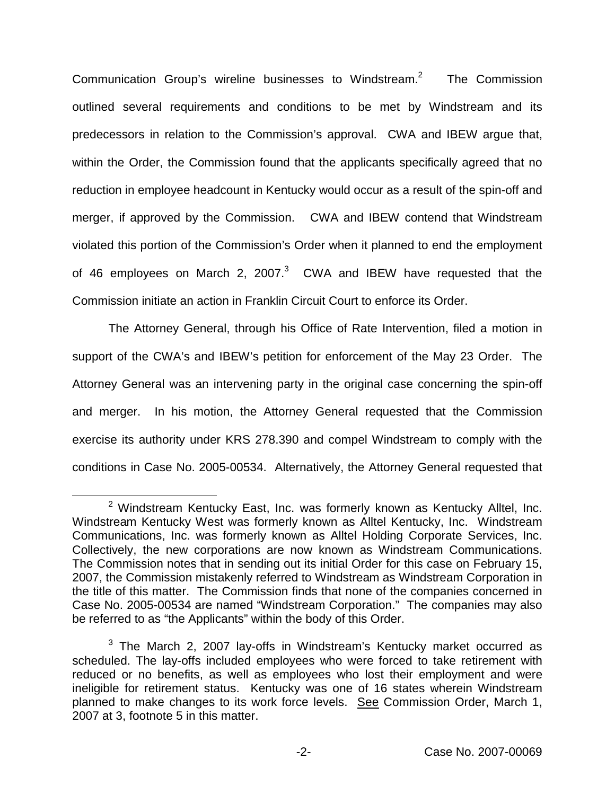Communication Group's wireline businesses to Windstream.2 The Commission outlined several requirements and conditions to be met by Windstream and its predecessors in relation to the Commission's approval. CWA and IBEW argue that, within the Order, the Commission found that the applicants specifically agreed that no reduction in employee headcount in Kentucky would occur as a result of the spin-off and merger, if approved by the Commission. CWA and IBEW contend that Windstream violated this portion of the Commission's Order when it planned to end the employment of 46 employees on March 2, 2007.<sup>3</sup> CWA and IBEW have requested that the Commission initiate an action in Franklin Circuit Court to enforce its Order.

The Attorney General, through his Office of Rate Intervention, filed a motion in support of the CWA's and IBEW's petition for enforcement of the May 23 Order. The Attorney General was an intervening party in the original case concerning the spin-off and merger. In his motion, the Attorney General requested that the Commission exercise its authority under KRS 278.390 and compel Windstream to comply with the conditions in Case No. 2005-00534. Alternatively, the Attorney General requested that

 $2$  Windstream Kentucky East, Inc. was formerly known as Kentucky Alltel, Inc. Windstream Kentucky West was formerly known as Alltel Kentucky, Inc. Windstream Communications, Inc. was formerly known as Alltel Holding Corporate Services, Inc. Collectively, the new corporations are now known as Windstream Communications. The Commission notes that in sending out its initial Order for this case on February 15, 2007, the Commission mistakenly referred to Windstream as Windstream Corporation in the title of this matter. The Commission finds that none of the companies concerned in Case No. 2005-00534 are named "Windstream Corporation." The companies may also be referred to as "the Applicants" within the body of this Order.

 $3$  The March 2, 2007 lay-offs in Windstream's Kentucky market occurred as scheduled. The lay-offs included employees who were forced to take retirement with reduced or no benefits, as well as employees who lost their employment and were ineligible for retirement status. Kentucky was one of 16 states wherein Windstream planned to make changes to its work force levels. See Commission Order, March 1, 2007 at 3, footnote 5 in this matter.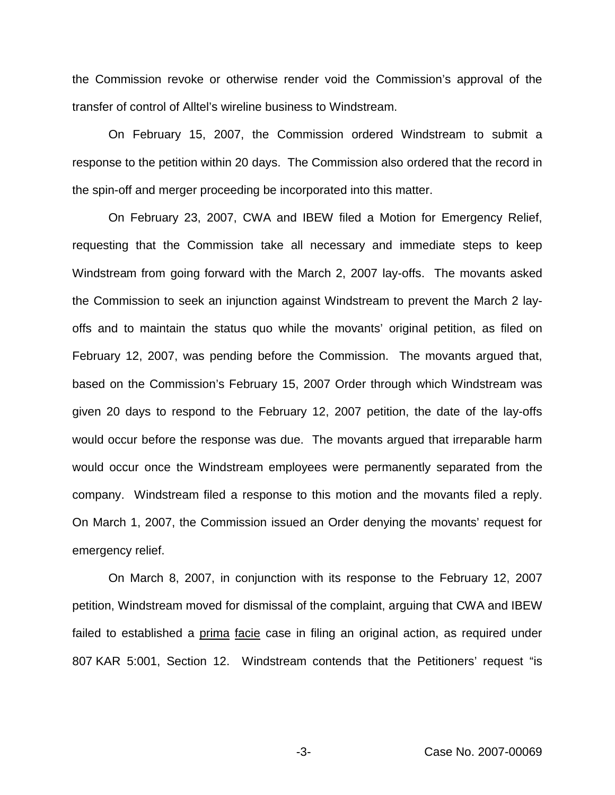the Commission revoke or otherwise render void the Commission's approval of the transfer of control of Alltel's wireline business to Windstream.

On February 15, 2007, the Commission ordered Windstream to submit a response to the petition within 20 days. The Commission also ordered that the record in the spin-off and merger proceeding be incorporated into this matter.

On February 23, 2007, CWA and IBEW filed a Motion for Emergency Relief, requesting that the Commission take all necessary and immediate steps to keep Windstream from going forward with the March 2, 2007 lay-offs. The movants asked the Commission to seek an injunction against Windstream to prevent the March 2 layoffs and to maintain the status quo while the movants' original petition, as filed on February 12, 2007, was pending before the Commission. The movants argued that, based on the Commission's February 15, 2007 Order through which Windstream was given 20 days to respond to the February 12, 2007 petition, the date of the lay-offs would occur before the response was due. The movants argued that irreparable harm would occur once the Windstream employees were permanently separated from the company. Windstream filed a response to this motion and the movants filed a reply. On March 1, 2007, the Commission issued an Order denying the movants' request for emergency relief.

On March 8, 2007, in conjunction with its response to the February 12, 2007 petition, Windstream moved for dismissal of the complaint, arguing that CWA and IBEW failed to established a prima facie case in filing an original action, as required under 807 KAR 5:001, Section 12. Windstream contends that the Petitioners' request "is

-3- Case No. 2007-00069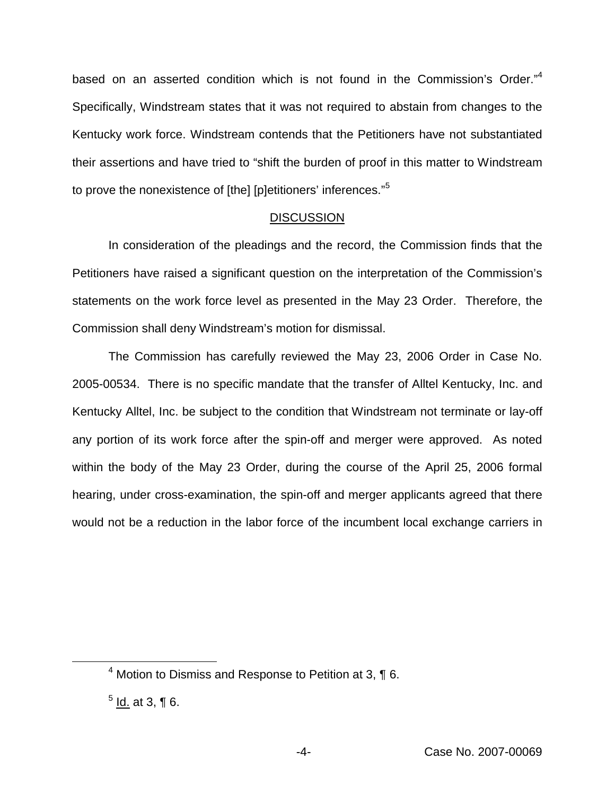based on an asserted condition which is not found in the Commission's Order."<sup>4</sup> Specifically, Windstream states that it was not required to abstain from changes to the Kentucky work force. Windstream contends that the Petitioners have not substantiated their assertions and have tried to "shift the burden of proof in this matter to Windstream to prove the nonexistence of [the] [p]etitioners' inferences."<sup>5</sup>

#### **DISCUSSION**

In consideration of the pleadings and the record, the Commission finds that the Petitioners have raised a significant question on the interpretation of the Commission's statements on the work force level as presented in the May 23 Order. Therefore, the Commission shall deny Windstream's motion for dismissal.

The Commission has carefully reviewed the May 23, 2006 Order in Case No. 2005-00534. There is no specific mandate that the transfer of Alltel Kentucky, Inc. and Kentucky Alltel, Inc. be subject to the condition that Windstream not terminate or lay-off any portion of its work force after the spin-off and merger were approved. As noted within the body of the May 23 Order, during the course of the April 25, 2006 formal hearing, under cross-examination, the spin-off and merger applicants agreed that there would not be a reduction in the labor force of the incumbent local exchange carriers in

 $4$  Motion to Dismiss and Response to Petition at 3,  $\P$  6.

 $<sup>5</sup>$  Id. at 3, ¶ 6.</sup>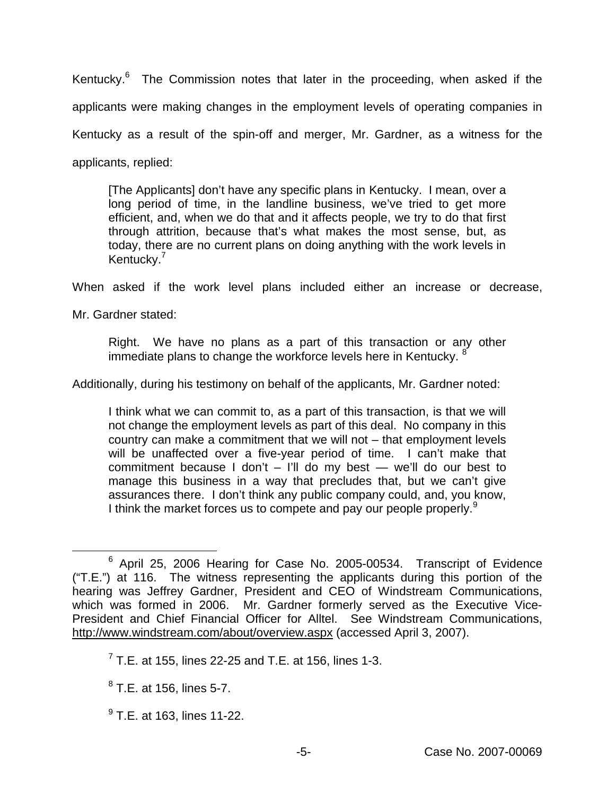Kentucky.<sup>6</sup> The Commission notes that later in the proceeding, when asked if the applicants were making changes in the employment levels of operating companies in Kentucky as a result of the spin-off and merger, Mr. Gardner, as a witness for the applicants, replied:

[The Applicants] don't have any specific plans in Kentucky. I mean, over a long period of time, in the landline business, we've tried to get more efficient, and, when we do that and it affects people, we try to do that first through attrition, because that's what makes the most sense, but, as today, there are no current plans on doing anything with the work levels in Kentucky.<sup>7</sup>

When asked if the work level plans included either an increase or decrease,

Mr. Gardner stated:

Right. We have no plans as a part of this transaction or any other immediate plans to change the workforce levels here in Kentucky. <sup>8</sup>

Additionally, during his testimony on behalf of the applicants, Mr. Gardner noted:

I think what we can commit to, as a part of this transaction, is that we will not change the employment levels as part of this deal. No company in this country can make a commitment that we will not – that employment levels will be unaffected over a five-year period of time. I can't make that commitment because I don't  $-$  I'll do my best  $-$  we'll do our best to manage this business in a way that precludes that, but we can't give assurances there. I don't think any public company could, and, you know, I think the market forces us to compete and pay our people properly.<sup>9</sup>

<sup>6</sup> April 25, 2006 Hearing for Case No. 2005-00534. Transcript of Evidence ("T.E.") at 116. The witness representing the applicants during this portion of the hearing was Jeffrey Gardner, President and CEO of Windstream Communications, which was formed in 2006. Mr. Gardner formerly served as the Executive Vice-President and Chief Financial Officer for Alltel. See Windstream Communications, <http://www.windstream.com/about/overview.aspx> (accessed April 3, 2007).

 $7$  T.E. at 155, lines 22-25 and T.E. at 156, lines 1-3.

 $8$  T.E. at 156, lines 5-7.

 $^{9}$  T.E. at 163. lines 11-22.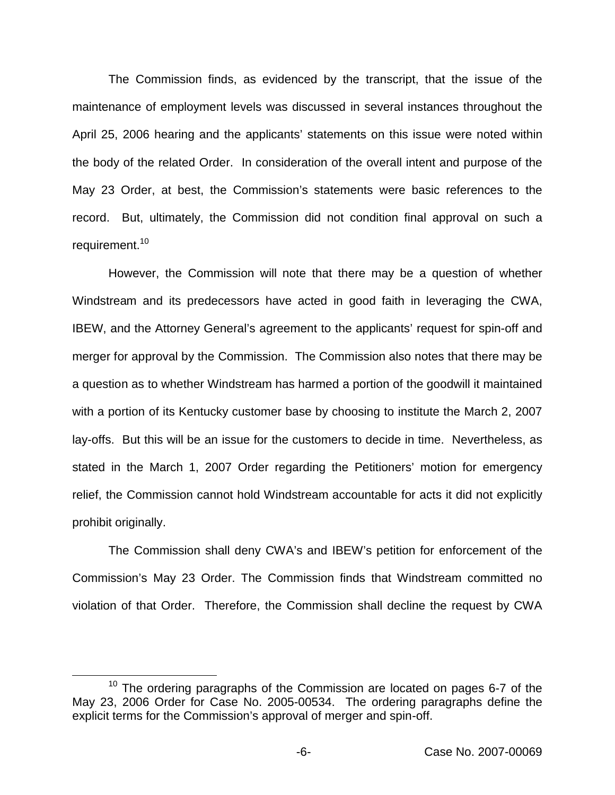The Commission finds, as evidenced by the transcript, that the issue of the maintenance of employment levels was discussed in several instances throughout the April 25, 2006 hearing and the applicants' statements on this issue were noted within the body of the related Order. In consideration of the overall intent and purpose of the May 23 Order, at best, the Commission's statements were basic references to the record. But, ultimately, the Commission did not condition final approval on such a requirement.<sup>10</sup>

However, the Commission will note that there may be a question of whether Windstream and its predecessors have acted in good faith in leveraging the CWA, IBEW, and the Attorney General's agreement to the applicants' request for spin-off and merger for approval by the Commission. The Commission also notes that there may be a question as to whether Windstream has harmed a portion of the goodwill it maintained with a portion of its Kentucky customer base by choosing to institute the March 2, 2007 lay-offs. But this will be an issue for the customers to decide in time. Nevertheless, as stated in the March 1, 2007 Order regarding the Petitioners' motion for emergency relief, the Commission cannot hold Windstream accountable for acts it did not explicitly prohibit originally.

The Commission shall deny CWA's and IBEW's petition for enforcement of the Commission's May 23 Order. The Commission finds that Windstream committed no violation of that Order. Therefore, the Commission shall decline the request by CWA

 $10$  The ordering paragraphs of the Commission are located on pages 6-7 of the May 23, 2006 Order for Case No. 2005-00534. The ordering paragraphs define the explicit terms for the Commission's approval of merger and spin-off.